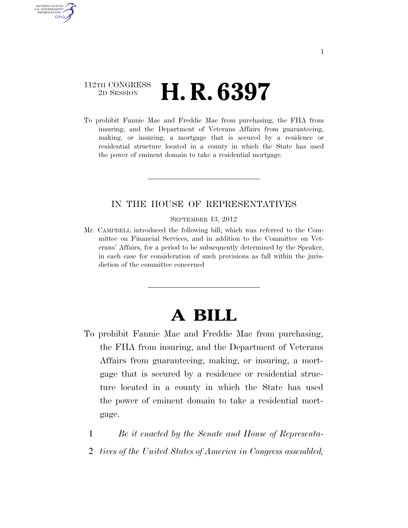## 112TH CONGRESS <sup>2D SESSION</sup> **H. R. 6397**

AUTHENTICATED U.S. GOVERNMENT GPO

> To prohibit Fannie Mae and Freddie Mac from purchasing, the FHA from insuring, and the Department of Veterans Affairs from guaranteeing, making, or insuring, a mortgage that is secured by a residence or residential structure located in a county in which the State has used the power of eminent domain to take a residential mortgage.

#### IN THE HOUSE OF REPRESENTATIVES

SEPTEMBER 13, 2012

Mr. CAMPBELL introduced the following bill; which was referred to the Committee on Financial Services, and in addition to the Committee on Veterans' Affairs, for a period to be subsequently determined by the Speaker, in each case for consideration of such provisions as fall within the jurisdiction of the committee concerned

# **A BILL**

- To prohibit Fannie Mae and Freddie Mac from purchasing, the FHA from insuring, and the Department of Veterans Affairs from guaranteeing, making, or insuring, a mortgage that is secured by a residence or residential structure located in a county in which the State has used the power of eminent domain to take a residential mortgage.
	- 1 *Be it enacted by the Senate and House of Representa-*
	- 2 *tives of the United States of America in Congress assembled,*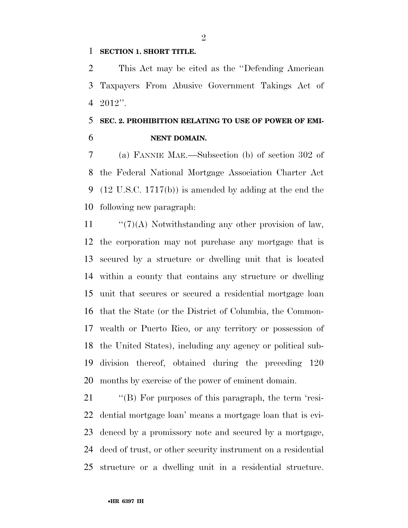#### **SECTION 1. SHORT TITLE.**

 This Act may be cited as the ''Defending American Taxpayers From Abusive Government Takings Act of 2012''.

## **SEC. 2. PROHIBITION RELATING TO USE OF POWER OF EMI-NENT DOMAIN.**

 (a) FANNIE MAE.—Subsection (b) of section 302 of the Federal National Mortgage Association Charter Act (12 U.S.C. 1717(b)) is amended by adding at the end the following new paragraph:

 $\frac{1}{2}$  (7)(A) Notwithstanding any other provision of law, the corporation may not purchase any mortgage that is secured by a structure or dwelling unit that is located within a county that contains any structure or dwelling unit that secures or secured a residential mortgage loan that the State (or the District of Columbia, the Common- wealth or Puerto Rico, or any territory or possession of the United States), including any agency or political sub- division thereof, obtained during the preceding 120 months by exercise of the power of eminent domain.

 ''(B) For purposes of this paragraph, the term 'resi- dential mortgage loan' means a mortgage loan that is evi- denced by a promissory note and secured by a mortgage, deed of trust, or other security instrument on a residential structure or a dwelling unit in a residential structure.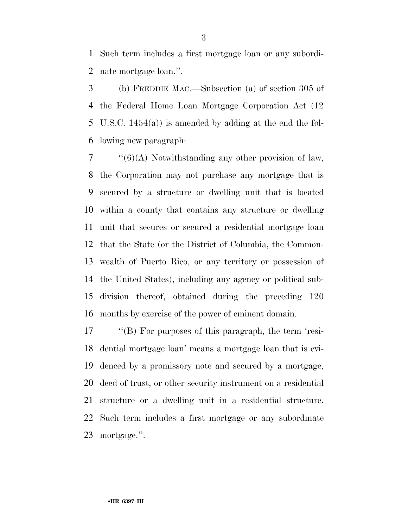Such term includes a first mortgage loan or any subordi-nate mortgage loan.''.

 (b) FREDDIE MAC.—Subsection (a) of section 305 of the Federal Home Loan Mortgage Corporation Act (12 U.S.C. 1454(a)) is amended by adding at the end the fol-lowing new paragraph:

 $7 \cdot \frac{17}{6}(6)$  Notwithstanding any other provision of law. the Corporation may not purchase any mortgage that is secured by a structure or dwelling unit that is located within a county that contains any structure or dwelling unit that secures or secured a residential mortgage loan that the State (or the District of Columbia, the Common- wealth of Puerto Rico, or any territory or possession of the United States), including any agency or political sub- division thereof, obtained during the preceding 120 months by exercise of the power of eminent domain.

 ''(B) For purposes of this paragraph, the term 'resi- dential mortgage loan' means a mortgage loan that is evi- denced by a promissory note and secured by a mortgage, deed of trust, or other security instrument on a residential structure or a dwelling unit in a residential structure. Such term includes a first mortgage or any subordinate mortgage.''.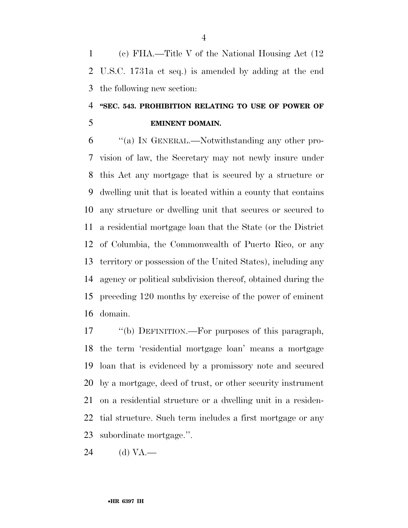(c) FHA.—Title V of the National Housing Act (12 U.S.C. 1731a et seq.) is amended by adding at the end the following new section:

# **''SEC. 543. PROHIBITION RELATING TO USE OF POWER OF EMINENT DOMAIN.**

 ''(a) IN GENERAL.—Notwithstanding any other pro- vision of law, the Secretary may not newly insure under this Act any mortgage that is secured by a structure or dwelling unit that is located within a county that contains any structure or dwelling unit that secures or secured to a residential mortgage loan that the State (or the District of Columbia, the Commonwealth of Puerto Rico, or any territory or possession of the United States), including any agency or political subdivision thereof, obtained during the preceding 120 months by exercise of the power of eminent domain.

 ''(b) DEFINITION.—For purposes of this paragraph, the term 'residential mortgage loan' means a mortgage loan that is evidenced by a promissory note and secured by a mortgage, deed of trust, or other security instrument on a residential structure or a dwelling unit in a residen- tial structure. Such term includes a first mortgage or any subordinate mortgage.''.

(d) VA.—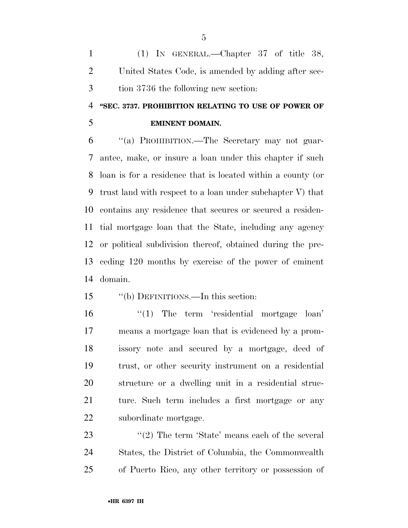(1) IN GENERAL.—Chapter 37 of title 38, United States Code, is amended by adding after sec-tion 3736 the following new section:

# **''SEC. 3737. PROHIBITION RELATING TO USE OF POWER OF**

### **EMINENT DOMAIN.**

 ''(a) PROHIBITION.—The Secretary may not guar- antee, make, or insure a loan under this chapter if such loan is for a residence that is located within a county (or trust land with respect to a loan under subchapter V) that contains any residence that secures or secured a residen- tial mortgage loan that the State, including any agency or political subdivision thereof, obtained during the pre- ceding 120 months by exercise of the power of eminent domain.

### ''(b) DEFINITIONS.—In this section:

16 ''(1) The term 'residential mortgage loan' means a mortgage loan that is evidenced by a prom- issory note and secured by a mortgage, deed of trust, or other security instrument on a residential structure or a dwelling unit in a residential struc- ture. Such term includes a first mortgage or any subordinate mortgage.

23 ''(2) The term 'State' means each of the several States, the District of Columbia, the Commonwealth of Puerto Rico, any other territory or possession of